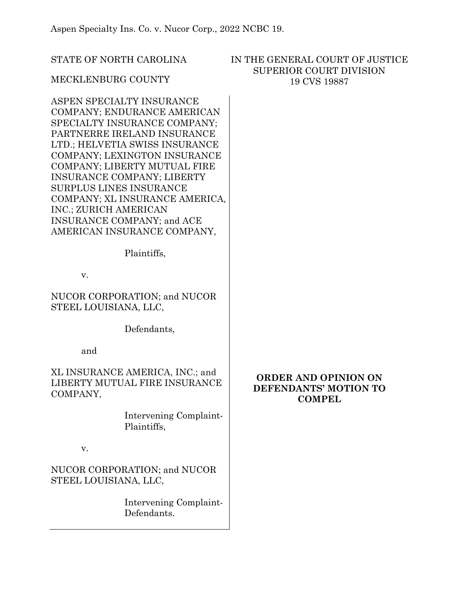STATE OF NORTH CAROLINA

## IN THE GENERAL COURT OF JUSTICE SUPERIOR COURT DIVISION 19 CVS 19887

# MECKLENBURG COUNTY

ASPEN SPECIALTY INSURANCE COMPANY; ENDURANCE AMERICAN SPECIALTY INSURANCE COMPANY; PARTNERRE IRELAND INSURANCE LTD.; HELVETIA SWISS INSURANCE COMPANY; LEXINGTON INSURANCE COMPANY; LIBERTY MUTUAL FIRE INSURANCE COMPANY; LIBERTY SURPLUS LINES INSURANCE COMPANY; XL INSURANCE AMERICA, INC.; ZURICH AMERICAN INSURANCE COMPANY; and ACE AMERICAN INSURANCE COMPANY,

Plaintiffs,

v.

NUCOR CORPORATION; and NUCOR STEEL LOUISIANA, LLC,

Defendants,

and

XL INSURANCE AMERICA, INC.; and LIBERTY MUTUAL FIRE INSURANCE COMPANY,

> Intervening Complaint-Plaintiffs,

v.

NUCOR CORPORATION; and NUCOR STEEL LOUISIANA, LLC,

> Intervening Complaint-Defendants.

# **ORDER AND OPINION ON DEFENDANTS' MOTION TO COMPEL**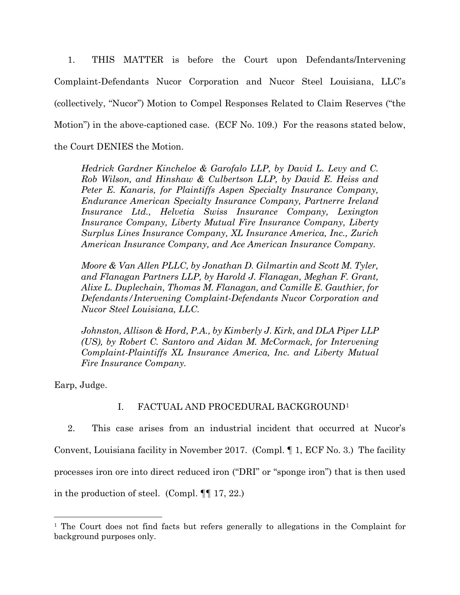1. THIS MATTER is before the Court upon Defendants/Intervening Complaint-Defendants Nucor Corporation and Nucor Steel Louisiana, LLC's (collectively, "Nucor") Motion to Compel Responses Related to Claim Reserves ("the Motion") in the above-captioned case. (ECF No. 109.) For the reasons stated below, the Court DENIES the Motion.

*Hedrick Gardner Kincheloe & Garofalo LLP, by David L. Levy and C. Rob Wilson, and Hinshaw & Culbertson LLP, by David E. Heiss and Peter E. Kanaris, for Plaintiffs Aspen Specialty Insurance Company, Endurance American Specialty Insurance Company, Partnerre Ireland Insurance Ltd., Helvetia Swiss Insurance Company, Lexington Insurance Company, Liberty Mutual Fire Insurance Company, Liberty Surplus Lines Insurance Company, XL Insurance America, Inc., Zurich American Insurance Company, and Ace American Insurance Company.*

*Moore & Van Allen PLLC, by Jonathan D. Gilmartin and Scott M. Tyler, and Flanagan Partners LLP, by Harold J. Flanagan, Meghan F. Grant, Alixe L. Duplechain, Thomas M. Flanagan, and Camille E. Gauthier, for Defendants/Intervening Complaint-Defendants Nucor Corporation and Nucor Steel Louisiana, LLC.*

*Johnston, Allison & Hord, P.A., by Kimberly J. Kirk, and DLA Piper LLP (US), by Robert C. Santoro and Aidan M. McCormack, for Intervening Complaint-Plaintiffs XL Insurance America, Inc. and Liberty Mutual Fire Insurance Company.*

Earp, Judge.

# I. FACTUAL AND PROCEDURAL BACKGROUN[D1](#page-1-0)

2. This case arises from an industrial incident that occurred at Nucor's Convent, Louisiana facility in November 2017. (Compl. ¶ 1, ECF No. 3.) The facility processes iron ore into direct reduced iron ("DRI" or "sponge iron") that is then used in the production of steel. (Compl. ¶¶ 17, 22.)

<span id="page-1-0"></span><sup>&</sup>lt;sup>1</sup> The Court does not find facts but refers generally to allegations in the Complaint for background purposes only.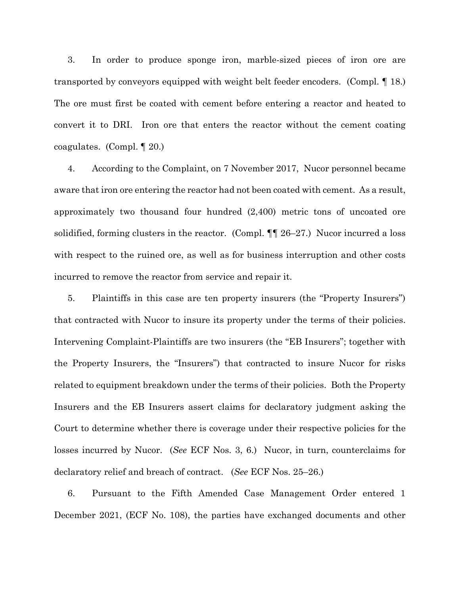3. In order to produce sponge iron, marble-sized pieces of iron ore are transported by conveyors equipped with weight belt feeder encoders. (Compl. ¶ 18.) The ore must first be coated with cement before entering a reactor and heated to convert it to DRI. Iron ore that enters the reactor without the cement coating coagulates. (Compl. ¶ 20.)

4. According to the Complaint, on 7 November 2017, Nucor personnel became aware that iron ore entering the reactor had not been coated with cement. As a result, approximately two thousand four hundred (2,400) metric tons of uncoated ore solidified, forming clusters in the reactor. (Compl.  $\P$  26–27.) Nucor incurred a loss with respect to the ruined ore, as well as for business interruption and other costs incurred to remove the reactor from service and repair it.

5. Plaintiffs in this case are ten property insurers (the "Property Insurers") that contracted with Nucor to insure its property under the terms of their policies. Intervening Complaint-Plaintiffs are two insurers (the "EB Insurers"; together with the Property Insurers, the "Insurers") that contracted to insure Nucor for risks related to equipment breakdown under the terms of their policies. Both the Property Insurers and the EB Insurers assert claims for declaratory judgment asking the Court to determine whether there is coverage under their respective policies for the losses incurred by Nucor. (*See* ECF Nos. 3, 6.) Nucor, in turn, counterclaims for declaratory relief and breach of contract. (*See* ECF Nos. 25–26.)

6. Pursuant to the Fifth Amended Case Management Order entered 1 December 2021, (ECF No. 108), the parties have exchanged documents and other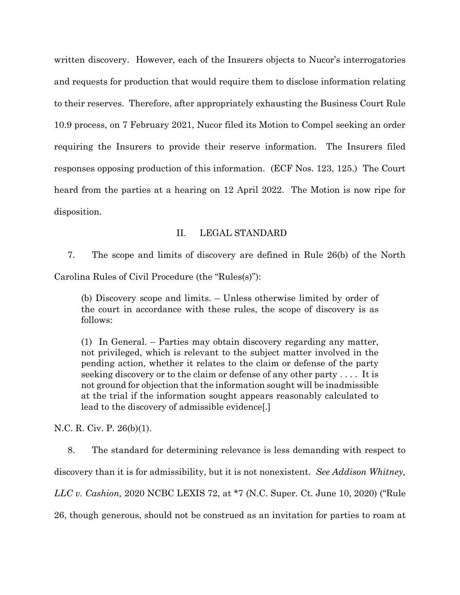written discovery. However, each of the Insurers objects to Nucor's interrogatories and requests for production that would require them to disclose information relating to their reserves. Therefore, after appropriately exhausting the Business Court Rule 10.9 process, on 7 February 2021, Nucor filed its Motion to Compel seeking an order requiring the Insurers to provide their reserve information. The Insurers filed responses opposing production of this information. (ECF Nos. 123, 125.) The Court heard from the parties at a hearing on 12 April 2022. The Motion is now ripe for disposition.

### II. LEGAL STANDARD

7. The scope and limits of discovery are defined in Rule 26(b) of the North

Carolina Rules of Civil Procedure (the "Rules(s)"):

(b) Discovery scope and limits. – Unless otherwise limited by order of the court in accordance with these rules, the scope of discovery is as follows:

(1) In General. – Parties may obtain discovery regarding any matter, not privileged, which is relevant to the subject matter involved in the pending action, whether it relates to the claim or defense of the party seeking discovery or to the claim or defense of any other party . . . . It is not ground for objection that the information sought will be inadmissible at the trial if the information sought appears reasonably calculated to lead to the discovery of admissible evidence[.]

N.C. R. Civ. P. 26(b)(1).

8. The standard for determining relevance is less demanding with respect to discovery than it is for admissibility, but it is not nonexistent. *See Addison Whitney, LLC v. Cashion,* 2020 NCBC LEXIS 72, at \*7 (N.C. Super. Ct. June 10, 2020) ("Rule 26, though generous, should not be construed as an invitation for parties to roam at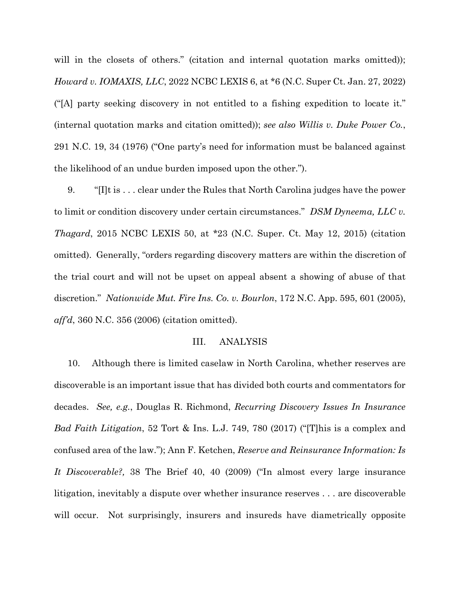will in the closets of others." (citation and internal quotation marks omitted)); *Howard v. IOMAXIS, LLC*, 2022 NCBC LEXIS 6, at \*6 (N.C. Super Ct. Jan. 27, 2022) ("[A] party seeking discovery in not entitled to a fishing expedition to locate it." (internal quotation marks and citation omitted)); *see also Willis v. Duke Power Co.*, 291 N.C. 19, 34 (1976) ("One party's need for information must be balanced against the likelihood of an undue burden imposed upon the other.").

9. "[I]t is . . . clear under the Rules that North Carolina judges have the power to limit or condition discovery under certain circumstances." *DSM Dyneema, LLC v. Thagard*, 2015 NCBC LEXIS 50, at \*23 (N.C. Super. Ct. May 12, 2015) (citation omitted). Generally, "orders regarding discovery matters are within the discretion of the trial court and will not be upset on appeal absent a showing of abuse of that discretion." *Nationwide Mut. Fire Ins. Co. v. Bourlon*, 172 N.C. App. 595, 601 (2005), *aff'd*, 360 N.C. 356 (2006) (citation omitted).

#### III. ANALYSIS

10. Although there is limited caselaw in North Carolina, whether reserves are discoverable is an important issue that has divided both courts and commentators for decades. *See, e.g.*, Douglas R. Richmond, *Recurring Discovery Issues In Insurance Bad Faith Litigation*, 52 Tort & Ins. L.J. 749, 780 (2017) ("[T]his is a complex and confused area of the law."); Ann F. Ketchen, *Reserve and Reinsurance Information: Is It Discoverable?,* 38 The Brief 40, 40 (2009) ("In almost every large insurance litigation, inevitably a dispute over whether insurance reserves . . . are discoverable will occur. Not surprisingly, insurers and insureds have diametrically opposite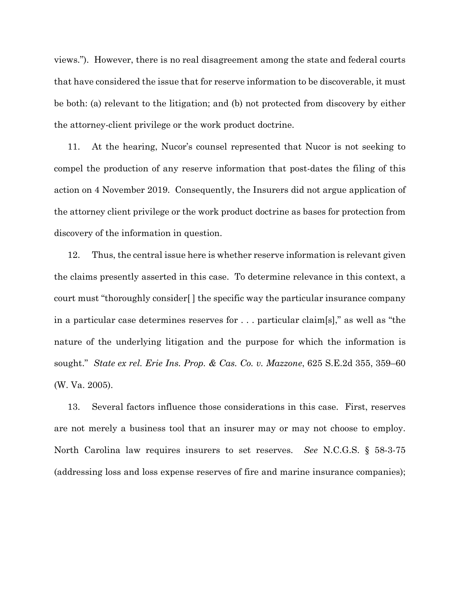views."). However, there is no real disagreement among the state and federal courts that have considered the issue that for reserve information to be discoverable, it must be both: (a) relevant to the litigation; and (b) not protected from discovery by either the attorney-client privilege or the work product doctrine.

11. At the hearing, Nucor's counsel represented that Nucor is not seeking to compel the production of any reserve information that post-dates the filing of this action on 4 November 2019. Consequently, the Insurers did not argue application of the attorney client privilege or the work product doctrine as bases for protection from discovery of the information in question.

12. Thus, the central issue here is whether reserve information is relevant given the claims presently asserted in this case. To determine relevance in this context, a court must "thoroughly consider[ ] the specific way the particular insurance company in a particular case determines reserves for . . . particular claim[s]," as well as "the nature of the underlying litigation and the purpose for which the information is sought." *State ex rel. Erie Ins. Prop. & Cas. Co. v. Mazzone*, 625 S.E.2d 355, 359–60 (W. Va. 2005).

13. Several factors influence those considerations in this case. First, reserves are not merely a business tool that an insurer may or may not choose to employ. North Carolina law requires insurers to set reserves. *See* N.C.G.S. § 58-3-75 (addressing loss and loss expense reserves of fire and marine insurance companies);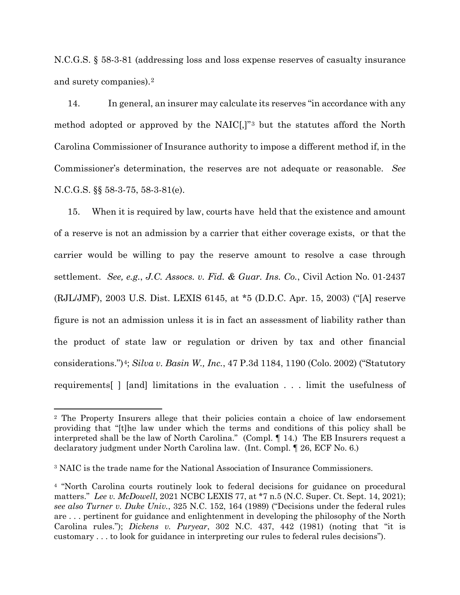N.C.G.S. § 58-3-81 (addressing loss and loss expense reserves of casualty insurance and surety companies).[2](#page-6-0)

14. In general, an insurer may calculate its reserves "in accordance with any method adopted or approved by the NAIC[,]"[3](#page-6-1) but the statutes afford the North Carolina Commissioner of Insurance authority to impose a different method if, in the Commissioner's determination, the reserves are not adequate or reasonable. *See*  N.C.G.S. §§ 58-3-75, 58-3-81(e).

15. When it is required by law, courts have held that the existence and amount of a reserve is not an admission by a carrier that either coverage exists, or that the carrier would be willing to pay the reserve amount to resolve a case through settlement. *See, e.g.*, *J.C. Assocs. v. Fid. & Guar. Ins. Co.*, Civil Action No. 01-2437 (RJL/JMF), 2003 U.S. Dist. LEXIS 6145, at \*5 (D.D.C. Apr. 15, 2003) ("[A] reserve figure is not an admission unless it is in fact an assessment of liability rather than the product of state law or regulation or driven by tax and other financial considerations.")[4](#page-6-2); *Silva v. Basin W., Inc.*, 47 P.3d 1184, 1190 (Colo. 2002) ("Statutory requirements[ ] [and] limitations in the evaluation . . . limit the usefulness of

<span id="page-6-0"></span><sup>2</sup> The Property Insurers allege that their policies contain a choice of law endorsement providing that "[t]he law under which the terms and conditions of this policy shall be interpreted shall be the law of North Carolina." (Compl. ¶ 14.) The EB Insurers request a declaratory judgment under North Carolina law. (Int. Compl. ¶ 26, ECF No. 6.)

<span id="page-6-1"></span><sup>3</sup> NAIC is the trade name for the National Association of Insurance Commissioners.

<span id="page-6-2"></span><sup>4</sup> "North Carolina courts routinely look to federal decisions for guidance on procedural matters." *Lee v. McDowell*, 2021 NCBC LEXIS 77, at \*7 n.5 (N.C. Super. Ct. Sept. 14, 2021); *see also Turner v. Duke Univ.*, 325 N.C. 152, 164 (1989) ("Decisions under the federal rules are . . . pertinent for guidance and enlightenment in developing the philosophy of the North Carolina rules."); *Dickens v. Puryear*, 302 N.C. 437, 442 (1981) (noting that "it is customary . . . to look for guidance in interpreting our rules to federal rules decisions").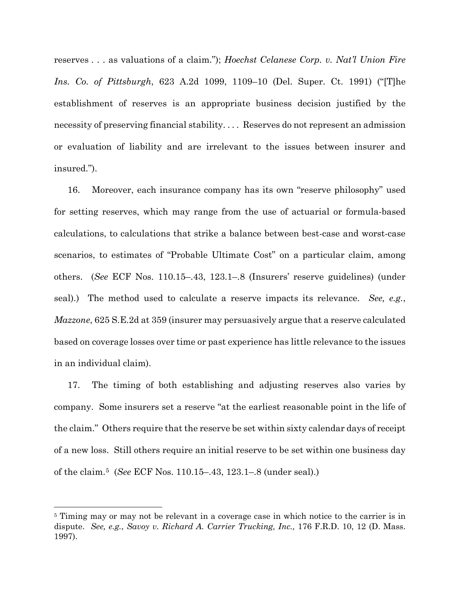reserves . . . as valuations of a claim."); *Hoechst Celanese Corp. v. Nat'l Union Fire Ins. Co. of Pittsburgh*, 623 A.2d 1099, 1109–10 (Del. Super. Ct. 1991) ("[T]he establishment of reserves is an appropriate business decision justified by the necessity of preserving financial stability. . . . Reserves do not represent an admission or evaluation of liability and are irrelevant to the issues between insurer and insured.").

16. Moreover, each insurance company has its own "reserve philosophy" used for setting reserves, which may range from the use of actuarial or formula-based calculations, to calculations that strike a balance between best-case and worst-case scenarios, to estimates of "Probable Ultimate Cost" on a particular claim, among others. (*See* ECF Nos. 110.15–.43, 123.1–.8 (Insurers' reserve guidelines) (under seal).) The method used to calculate a reserve impacts its relevance. *See, e.g.*, *Mazzone*, 625 S.E.2d at 359 (insurer may persuasively argue that a reserve calculated based on coverage losses over time or past experience has little relevance to the issues in an individual claim).

17. The timing of both establishing and adjusting reserves also varies by company. Some insurers set a reserve "at the earliest reasonable point in the life of the claim." Others require that the reserve be set within sixty calendar days of receipt of a new loss. Still others require an initial reserve to be set within one business day of the claim.[5](#page-7-0) (*See* ECF Nos. 110.15–.43, 123.1–.8 (under seal).)

<span id="page-7-0"></span><sup>&</sup>lt;sup>5</sup> Timing may or may not be relevant in a coverage case in which notice to the carrier is in dispute. *See, e.g.*, *Savoy v. Richard A. Carrier Trucking, Inc.,* 176 F.R.D. 10, 12 (D. Mass. 1997).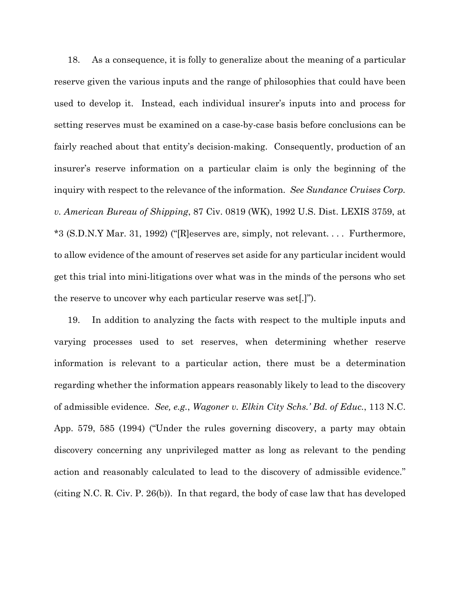18. As a consequence, it is folly to generalize about the meaning of a particular reserve given the various inputs and the range of philosophies that could have been used to develop it. Instead, each individual insurer's inputs into and process for setting reserves must be examined on a case-by-case basis before conclusions can be fairly reached about that entity's decision-making. Consequently, production of an insurer's reserve information on a particular claim is only the beginning of the inquiry with respect to the relevance of the information. *See Sundance Cruises Corp. v. American Bureau of Shipping*, 87 Civ. 0819 (WK), 1992 U.S. Dist. LEXIS 3759, at \*3 (S.D.N.Y Mar. 31, 1992) ("[R]eserves are, simply, not relevant. . . . Furthermore, to allow evidence of the amount of reserves set aside for any particular incident would get this trial into mini-litigations over what was in the minds of the persons who set the reserve to uncover why each particular reserve was set[.]").

19. In addition to analyzing the facts with respect to the multiple inputs and varying processes used to set reserves, when determining whether reserve information is relevant to a particular action, there must be a determination regarding whether the information appears reasonably likely to lead to the discovery of admissible evidence. *See, e.g.*, *Wagoner v. Elkin City Schs.' Bd. of Educ.*, 113 N.C. App. 579, 585 (1994) ("Under the rules governing discovery, a party may obtain discovery concerning any unprivileged matter as long as relevant to the pending action and reasonably calculated to lead to the discovery of admissible evidence." (citing N.C. R. Civ. P. 26(b)). In that regard, the body of case law that has developed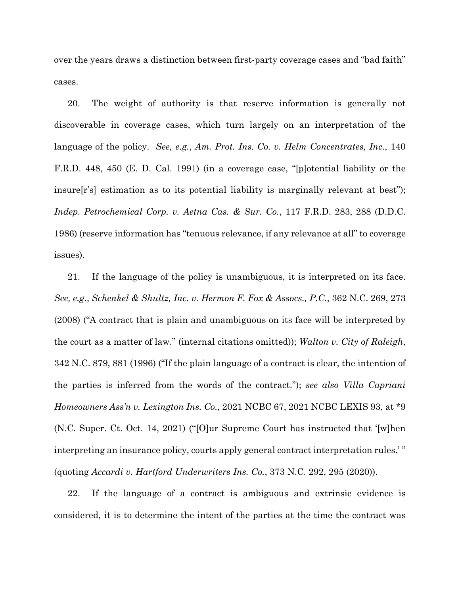over the years draws a distinction between first-party coverage cases and "bad faith" cases.

20. The weight of authority is that reserve information is generally not discoverable in coverage cases, which turn largely on an interpretation of the language of the policy. *See, e.g.*, *Am. Prot. Ins. Co. v. Helm Concentrates, Inc.*, 140 F.R.D. 448, 450 (E. D. Cal. 1991) (in a coverage case, "[p]otential liability or the insure[r's] estimation as to its potential liability is marginally relevant at best"); *Indep. Petrochemical Corp. v. Aetna Cas. & Sur. Co.*, 117 F.R.D. 283, 288 (D.D.C. 1986) (reserve information has "tenuous relevance, if any relevance at all" to coverage issues).

21. If the language of the policy is unambiguous, it is interpreted on its face. *See, e.g.*, *Schenkel & Shultz, Inc. v. Hermon F. Fox & Assocs., P.C.*, 362 N.C. 269, 273 (2008) ("A contract that is plain and unambiguous on its face will be interpreted by the court as a matter of law." (internal citations omitted)); *Walton v. City of Raleigh*, 342 N.C. 879, 881 (1996) ("If the plain language of a contract is clear, the intention of the parties is inferred from the words of the contract."); *see also Villa Capriani Homeowners Ass'n v. Lexington Ins. Co.*, 2021 NCBC 67, 2021 NCBC LEXIS 93, at \*9 (N.C. Super. Ct. Oct. 14, 2021) ("[O]ur Supreme Court has instructed that '[w]hen interpreting an insurance policy, courts apply general contract interpretation rules.' " (quoting *Accardi v. Hartford Underwriters Ins. Co.*, 373 N.C. 292, 295 (2020)).

22. If the language of a contract is ambiguous and extrinsic evidence is considered, it is to determine the intent of the parties at the time the contract was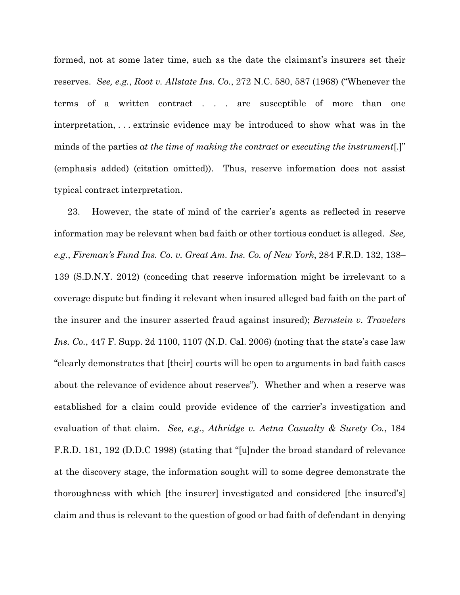formed, not at some later time, such as the date the claimant's insurers set their reserves. *See, e.g.*, *Root v. Allstate Ins. Co.*, 272 N.C. 580, 587 (1968) ("Whenever the terms of a written contract . . . are susceptible of more than one interpretation, . . . extrinsic evidence may be introduced to show what was in the minds of the parties *at the time of making the contract or executing the instrument*[.]" (emphasis added) (citation omitted)). Thus, reserve information does not assist typical contract interpretation.

23. However, the state of mind of the carrier's agents as reflected in reserve information may be relevant when bad faith or other tortious conduct is alleged. *See, e.g.*, *Fireman's Fund Ins. Co. v. Great Am. Ins. Co. of New York*, 284 F.R.D. 132, 138– 139 (S.D.N.Y. 2012) (conceding that reserve information might be irrelevant to a coverage dispute but finding it relevant when insured alleged bad faith on the part of the insurer and the insurer asserted fraud against insured); *Bernstein v. Travelers Ins. Co.*, 447 F. Supp. 2d 1100, 1107 (N.D. Cal. 2006) (noting that the state's case law "clearly demonstrates that [their] courts will be open to arguments in bad faith cases about the relevance of evidence about reserves"). Whether and when a reserve was established for a claim could provide evidence of the carrier's investigation and evaluation of that claim. *See, e.g.*, *Athridge v. Aetna Casualty & Surety Co.*, 184 F.R.D. 181, 192 (D.D.C 1998) (stating that "[u]nder the broad standard of relevance at the discovery stage, the information sought will to some degree demonstrate the thoroughness with which [the insurer] investigated and considered [the insured's] claim and thus is relevant to the question of good or bad faith of defendant in denying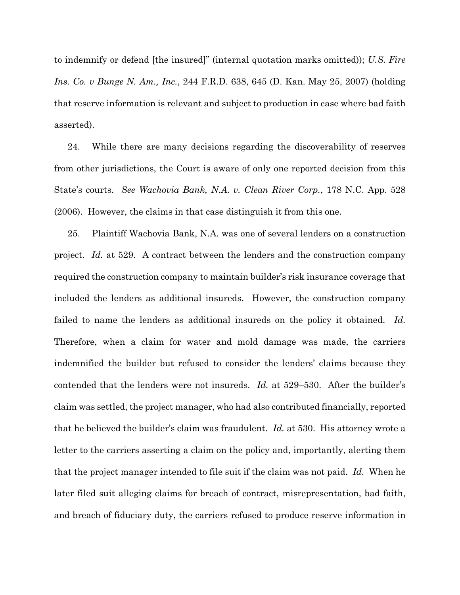to indemnify or defend [the insured]" (internal quotation marks omitted)); *U.S. Fire Ins. Co. v Bunge N. Am., Inc.*, 244 F.R.D. 638, 645 (D. Kan. May 25, 2007) (holding that reserve information is relevant and subject to production in case where bad faith asserted).

24. While there are many decisions regarding the discoverability of reserves from other jurisdictions, the Court is aware of only one reported decision from this State's courts. *See Wachovia Bank, N.A. v. Clean River Corp.*, 178 N.C. App. 528 (2006). However, the claims in that case distinguish it from this one.

25. Plaintiff Wachovia Bank, N.A. was one of several lenders on a construction project. *Id.* at 529. A contract between the lenders and the construction company required the construction company to maintain builder's risk insurance coverage that included the lenders as additional insureds. However, the construction company failed to name the lenders as additional insureds on the policy it obtained. *Id.* Therefore, when a claim for water and mold damage was made, the carriers indemnified the builder but refused to consider the lenders' claims because they contended that the lenders were not insureds. *Id.* at 529–530. After the builder's claim was settled, the project manager, who had also contributed financially, reported that he believed the builder's claim was fraudulent. *Id.* at 530. His attorney wrote a letter to the carriers asserting a claim on the policy and, importantly, alerting them that the project manager intended to file suit if the claim was not paid. *Id.* When he later filed suit alleging claims for breach of contract, misrepresentation, bad faith, and breach of fiduciary duty, the carriers refused to produce reserve information in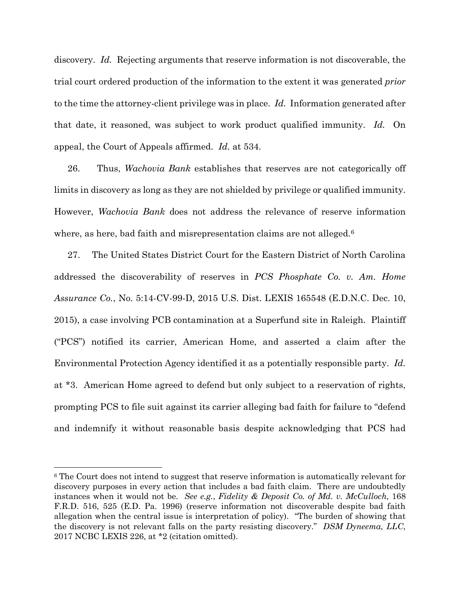discovery. *Id.* Rejecting arguments that reserve information is not discoverable, the trial court ordered production of the information to the extent it was generated *prior* to the time the attorney-client privilege was in place. *Id.* Information generated after that date, it reasoned, was subject to work product qualified immunity. *Id.* On appeal, the Court of Appeals affirmed. *Id.* at 534.

26. Thus, *Wachovia Bank* establishes that reserves are not categorically off limits in discovery as long as they are not shielded by privilege or qualified immunity. However, *Wachovia Bank* does not address the relevance of reserve information where, as here, bad faith and misrepresentation claims are not alleged.<sup>[6](#page-12-0)</sup>

27. The United States District Court for the Eastern District of North Carolina addressed the discoverability of reserves in *PCS Phosphate Co. v. Am. Home Assurance Co.*, No. 5:14-CV-99-D, 2015 U.S. Dist. LEXIS 165548 (E.D.N.C. Dec. 10, 2015), a case involving PCB contamination at a Superfund site in Raleigh. Plaintiff ("PCS") notified its carrier, American Home, and asserted a claim after the Environmental Protection Agency identified it as a potentially responsible party. *Id.* at \*3. American Home agreed to defend but only subject to a reservation of rights, prompting PCS to file suit against its carrier alleging bad faith for failure to "defend and indemnify it without reasonable basis despite acknowledging that PCS had

<span id="page-12-0"></span><sup>6</sup> The Court does not intend to suggest that reserve information is automatically relevant for discovery purposes in every action that includes a bad faith claim. There are undoubtedly instances when it would not be. *See e.g.*, *Fidelity & Deposit Co. of Md. v. McCulloch*, 168 F.R.D. 516, 525 (E.D. Pa. 1996) (reserve information not discoverable despite bad faith allegation when the central issue is interpretation of policy). "The burden of showing that the discovery is not relevant falls on the party resisting discovery." *DSM Dyneema, LLC*, 2017 NCBC LEXIS 226, at \*2 (citation omitted).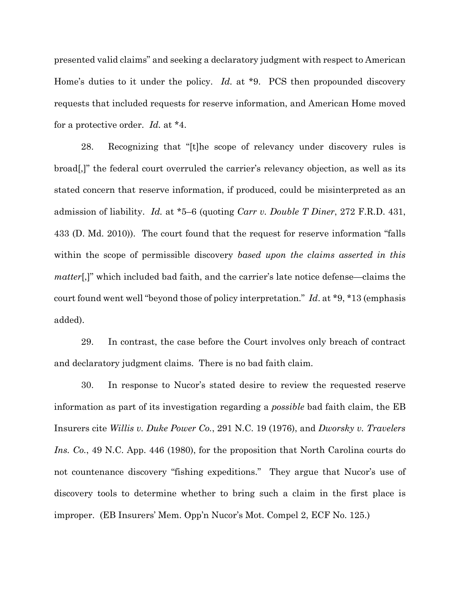presented valid claims" and seeking a declaratory judgment with respect to American Home's duties to it under the policy. *Id.* at \*9. PCS then propounded discovery requests that included requests for reserve information, and American Home moved for a protective order. *Id.* at \*4.

28. Recognizing that "[t]he scope of relevancy under discovery rules is broad[,]" the federal court overruled the carrier's relevancy objection, as well as its stated concern that reserve information, if produced, could be misinterpreted as an admission of liability. *Id.* at \*5–6 (quoting *Carr v. Double T Diner*, 272 F.R.D. 431, 433 (D. Md. 2010)). The court found that the request for reserve information "falls within the scope of permissible discovery *based upon the claims asserted in this matter*[,]" which included bad faith, and the carrier's late notice defense—claims the court found went well "beyond those of policy interpretation." *Id*. at \*9, \*13 (emphasis added).

29. In contrast, the case before the Court involves only breach of contract and declaratory judgment claims. There is no bad faith claim.

30. In response to Nucor's stated desire to review the requested reserve information as part of its investigation regarding a *possible* bad faith claim, the EB Insurers cite *Willis v. Duke Power Co.*, 291 N.C. 19 (1976), and *Dworsky v. Travelers Ins. Co.*, 49 N.C. App. 446 (1980), for the proposition that North Carolina courts do not countenance discovery "fishing expeditions." They argue that Nucor's use of discovery tools to determine whether to bring such a claim in the first place is improper. (EB Insurers' Mem. Opp'n Nucor's Mot. Compel 2, ECF No. 125.)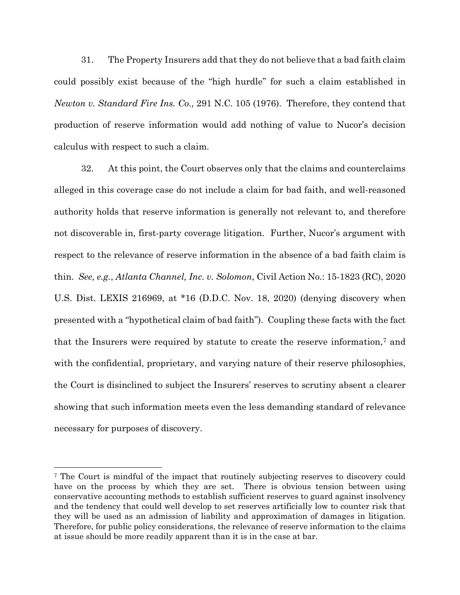31. The Property Insurers add that they do not believe that a bad faith claim could possibly exist because of the "high hurdle" for such a claim established in *Newton v. Standard Fire Ins. Co.,* 291 N.C. 105 (1976). Therefore, they contend that production of reserve information would add nothing of value to Nucor's decision calculus with respect to such a claim.

32. At this point, the Court observes only that the claims and counterclaims alleged in this coverage case do not include a claim for bad faith, and well-reasoned authority holds that reserve information is generally not relevant to, and therefore not discoverable in, first-party coverage litigation. Further, Nucor's argument with respect to the relevance of reserve information in the absence of a bad faith claim is thin. *See, e.g.*, *Atlanta Channel, Inc. v. Solomon*, Civil Action No.: 15-1823 (RC), 2020 U.S. Dist. LEXIS 216969, at \*16 (D.D.C. Nov. 18, 2020) (denying discovery when presented with a "hypothetical claim of bad faith"). Coupling these facts with the fact that the Insurers were required by statute to create the reserve information,[7](#page-14-0) and with the confidential, proprietary, and varying nature of their reserve philosophies, the Court is disinclined to subject the Insurers' reserves to scrutiny absent a clearer showing that such information meets even the less demanding standard of relevance necessary for purposes of discovery.

<span id="page-14-0"></span><sup>7</sup> The Court is mindful of the impact that routinely subjecting reserves to discovery could have on the process by which they are set. There is obvious tension between using conservative accounting methods to establish sufficient reserves to guard against insolvency and the tendency that could well develop to set reserves artificially low to counter risk that they will be used as an admission of liability and approximation of damages in litigation. Therefore, for public policy considerations, the relevance of reserve information to the claims at issue should be more readily apparent than it is in the case at bar.